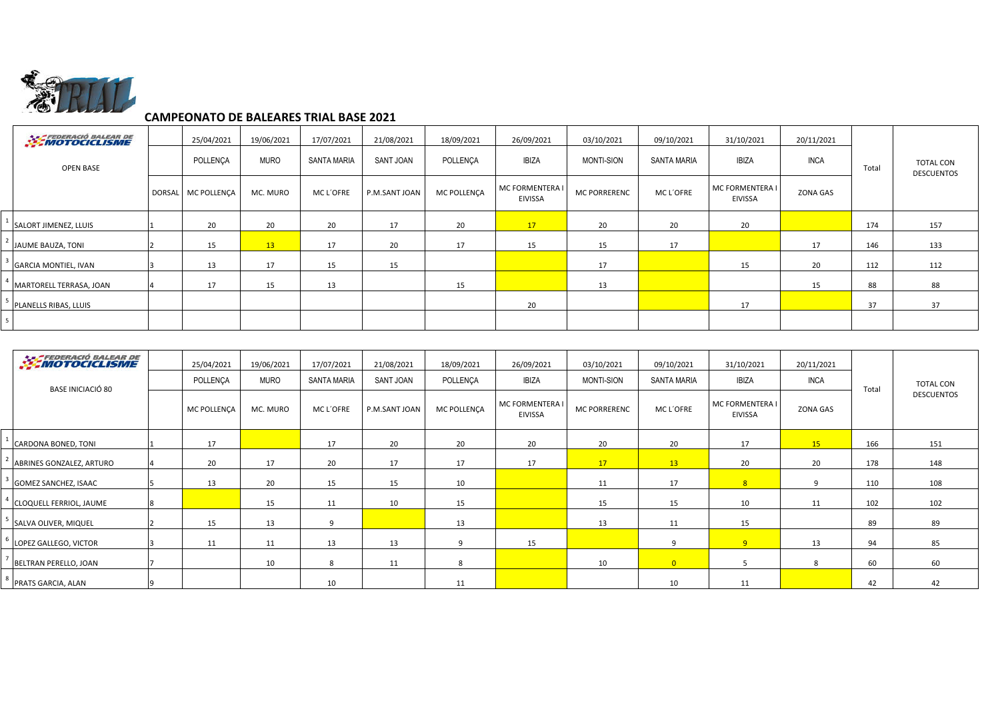

## **CAMPEONATO DE BALEARES TRIAL BASE 2021**

|                  | <b>MOTOCICLISME</b>         | 25/04/2021         | 19/06/2021         | 17/07/2021      | 21/08/2021    | 18/09/2021   | 26/09/2021                        | 03/10/2021          | 09/10/2021   | 31/10/2021                 | 20/11/2021 |                                       |     |
|------------------|-----------------------------|--------------------|--------------------|-----------------|---------------|--------------|-----------------------------------|---------------------|--------------|----------------------------|------------|---------------------------------------|-----|
| <b>OPEN BASE</b> | POLLENCA                    | <b>MURO</b>        | <b>SANTA MARIA</b> | SANT JOAN       | POLLENCA      | <b>IBIZA</b> | MONTI-SION                        | <b>SANTA MARIA</b>  | <b>IBIZA</b> | <b>INCA</b>                | Total      | <b>TOTAL CON</b><br><b>DESCUENTOS</b> |     |
|                  |                             | DORSAL MC POLLENÇA | MC. MURO           | <b>MCL'OFRE</b> | P.M.SANT JOAN | MC POLLENÇA  | MC FORMENTERA I<br><b>EIVISSA</b> | <b>MC PORRERENC</b> | MC L'OFRE    | MC FORMENTERA I<br>EIVISSA | ZONA GAS   |                                       |     |
|                  | SALORT JIMENEZ, LLUIS       | 20                 | 20                 | 20              | 17            | 20           | 17                                | 20                  | 20           | 20                         |            | 174                                   | 157 |
|                  | JAUME BAUZA, TONI           | 15                 | 13                 | 17              | 20            | 17           | 15                                | 15                  | 17           |                            | 17         | 146                                   | 133 |
|                  | <b>GARCIA MONTIEL, IVAN</b> | 13                 | 17                 | 15              | 15            |              |                                   | 17                  |              | 15                         | 20         | 112                                   | 112 |
|                  | MARTORELL TERRASA, JOAN     | 17                 | 15                 | 13              |               | 15           |                                   | 13                  |              |                            | 15         | 88                                    | 88  |
|                  | PLANELLS RIBAS, LLUIS       |                    |                    |                 |               |              | 20                                |                     |              | 17                         |            | 37                                    | 37  |
|                  |                             |                    |                    |                 |               |              |                                   |                     |              |                            |            |                                       |     |

|                   | <b>EXEMPTOCICLISME</b>         | 25/04/2021  | 19/06/2021         | 17/07/2021    | 21/08/2021  | 18/09/2021                               | 26/09/2021          | 03/10/2021         | 09/10/2021                        | 31/10/2021      | 20/11/2021 |                   |     |
|-------------------|--------------------------------|-------------|--------------------|---------------|-------------|------------------------------------------|---------------------|--------------------|-----------------------------------|-----------------|------------|-------------------|-----|
| BASE INICIACIÓ 80 | POLLENCA                       | <b>MURO</b> | <b>SANTA MARIA</b> | SANT JOAN     | POLLENÇA    | <b>IBIZA</b>                             | <b>MONTI-SION</b>   | <b>SANTA MARIA</b> | <b>IBIZA</b>                      | <b>INCA</b>     | Total      | <b>TOTAL CON</b>  |     |
|                   | MC POLLENÇA                    | MC. MURO    | MC L'OFRE          | P.M.SANT JOAN | MC POLLENCA | <b>MC FORMENTERA I</b><br><b>EIVISSA</b> | <b>MC PORRERENC</b> | MC L'OFRE          | MC FORMENTERA I<br><b>EIVISSA</b> | <b>ZONA GAS</b> |            | <b>DESCUENTOS</b> |     |
|                   | CARDONA BONED, TONI            | 17          |                    | 17            | 20          | 20                                       | 20                  | 20                 | 20                                | 17              | 15         | 166               | 151 |
|                   | ABRINES GONZALEZ, ARTURO       | 20          | 17                 | 20            | 17          | 17                                       | 17                  | 17                 | 13                                | 20              | 20         | 178               | 148 |
|                   | <b>GOMEZ SANCHEZ, ISAAC</b>    | 13          | 20                 | 15            | 15          | 10                                       |                     | 11                 | 17                                | 8               | 9          | 110               | 108 |
|                   | <b>CLOQUELL FERRIOL, JAUME</b> |             | 15                 | 11            | 10          | 15                                       |                     | 15                 | 15                                | 10              | 11         | 102               | 102 |
|                   | SALVA OLIVER, MIQUEL           | 15          | 13                 | $\mathbf{q}$  |             | 13                                       |                     | 13                 | 11                                | 15              |            | 89                | 89  |
|                   | LOPEZ GALLEGO, VICTOR          | 11          | 11                 | 13            | 13          | 9                                        | 15                  |                    | q                                 | 9               | 13         | 94                | 85  |
|                   | BELTRAN PERELLO, JOAN          |             | 10                 | 8             | 11          | 8                                        |                     | 10                 | $\overline{0}$                    |                 | 8          | 60                | 60  |
|                   | PRATS GARCIA, ALAN             |             |                    | 10            |             | 11                                       |                     |                    | 10                                | 11              |            | 42                | 42  |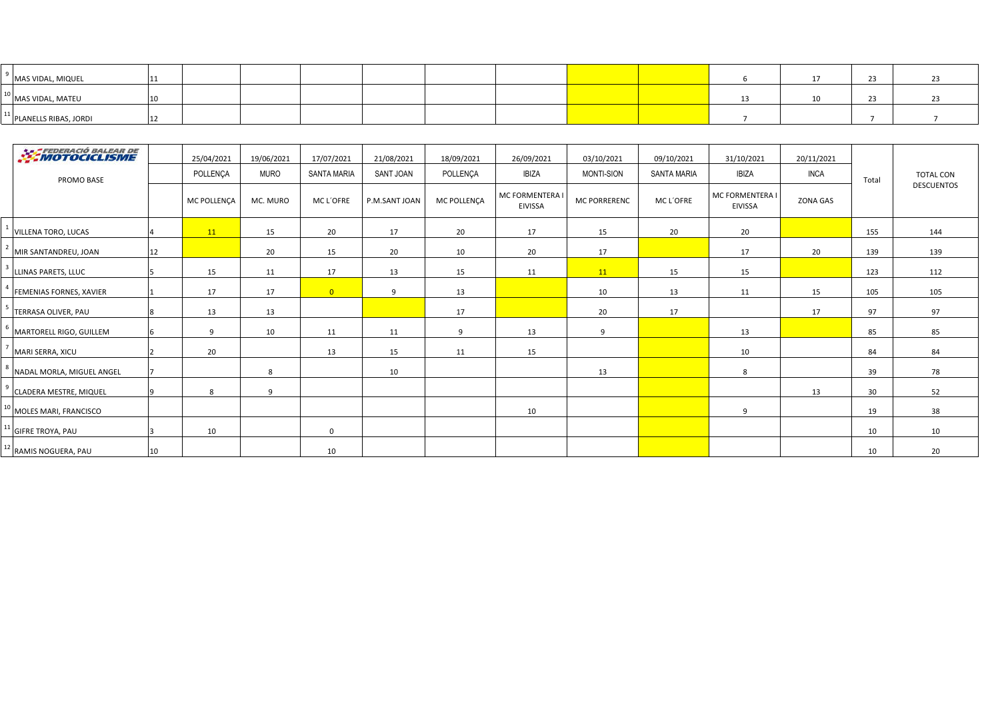| MAS VIDAL, MIQUEL                   |  |  |  |  |  |  |  |
|-------------------------------------|--|--|--|--|--|--|--|
| <sup>10</sup> MAS VIDAL, MATEU      |  |  |  |  |  |  |  |
| <sup>11</sup> PLANELLS RIBAS, JORDI |  |  |  |  |  |  |  |

| <b>EXAMPLE DERACIÓ BALEAR DE</b> |    | 25/04/2021  | 19/06/2021   | 17/07/2021         | 21/08/2021       | 18/09/2021  | 26/09/2021                             | 03/10/2021   | 09/10/2021         | 31/10/2021                               | 20/11/2021  |       |                   |
|----------------------------------|----|-------------|--------------|--------------------|------------------|-------------|----------------------------------------|--------------|--------------------|------------------------------------------|-------------|-------|-------------------|
| PROMO BASE                       |    | POLLENÇA    | <b>MURO</b>  | <b>SANTA MARIA</b> | <b>SANT JOAN</b> | POLLENÇA    | <b>IBIZA</b>                           | MONTI-SION   | <b>SANTA MARIA</b> | <b>IBIZA</b>                             | <b>INCA</b> | Total | <b>TOTAL CON</b>  |
|                                  |    | MC POLLENÇA | MC. MURO     | MC L'OFRE          | P.M.SANT JOAN    | MC POLLENCA | <b>MC FORMENTERA</b><br><b>EIVISSA</b> | MC PORRERENC | MC L'OFRE          | <b>MC FORMENTERA I</b><br><b>EIVISSA</b> | ZONA GAS    |       | <b>DESCUENTOS</b> |
| <b>VILLENA TORO, LUCAS</b>       |    | 11          | 15           | 20                 | 17               | 20          | 17                                     | 15           | 20                 | 20                                       |             | 155   | 144               |
| MIR SANTANDREU, JOAN             | 12 |             | 20           | 15                 | 20               | 10          | 20                                     | 17           |                    | 17                                       | 20          | 139   | 139               |
| LLINAS PARETS, LLUC              |    | 15          | 11           | 17                 | 13               | 15          | 11                                     | 11           | 15                 | 15                                       |             | 123   | 112               |
| <b>FEMENIAS FORNES, XAVIER</b>   |    | 17          | 17           | $\overline{0}$     | 9                | 13          |                                        | 10           | 13                 | 11                                       | 15          | 105   | 105               |
| TERRASA OLIVER. PAU              | 8  | 13          | 13           |                    |                  | 17          |                                        | 20           | 17                 |                                          | 17          | 97    | 97                |
| MARTORELL RIGO, GUILLEM          | -6 | 9           | 10           | 11                 | 11               | 9           | 13                                     | 9            |                    | 13                                       |             | 85    | 85                |
| MARI SERRA, XICU                 |    | 20          |              | 13                 | 15               | 11          | 15                                     |              |                    | 10                                       |             | 84    | 84                |
| NADAL MORLA, MIGUEL ANGEL        |    |             | 8            |                    | 10               |             |                                        | 13           |                    | 8                                        |             | 39    | 78                |
| <b>CLADERA MESTRE, MIQUEL</b>    |    | 8           | $\mathbf{q}$ |                    |                  |             |                                        |              |                    |                                          | 13          | 30    | 52                |
| MOLES MARI, FRANCISCO            |    |             |              |                    |                  |             | 10                                     |              |                    | 9                                        |             | 19    | 38                |
| <b>GIFRE TROYA, PAU</b>          |    | 10          |              | $\Omega$           |                  |             |                                        |              |                    |                                          |             | 10    | 10                |
| RAMIS NOGUERA, PAU               | 10 |             |              | 10                 |                  |             |                                        |              |                    |                                          |             | 10    | 20                |